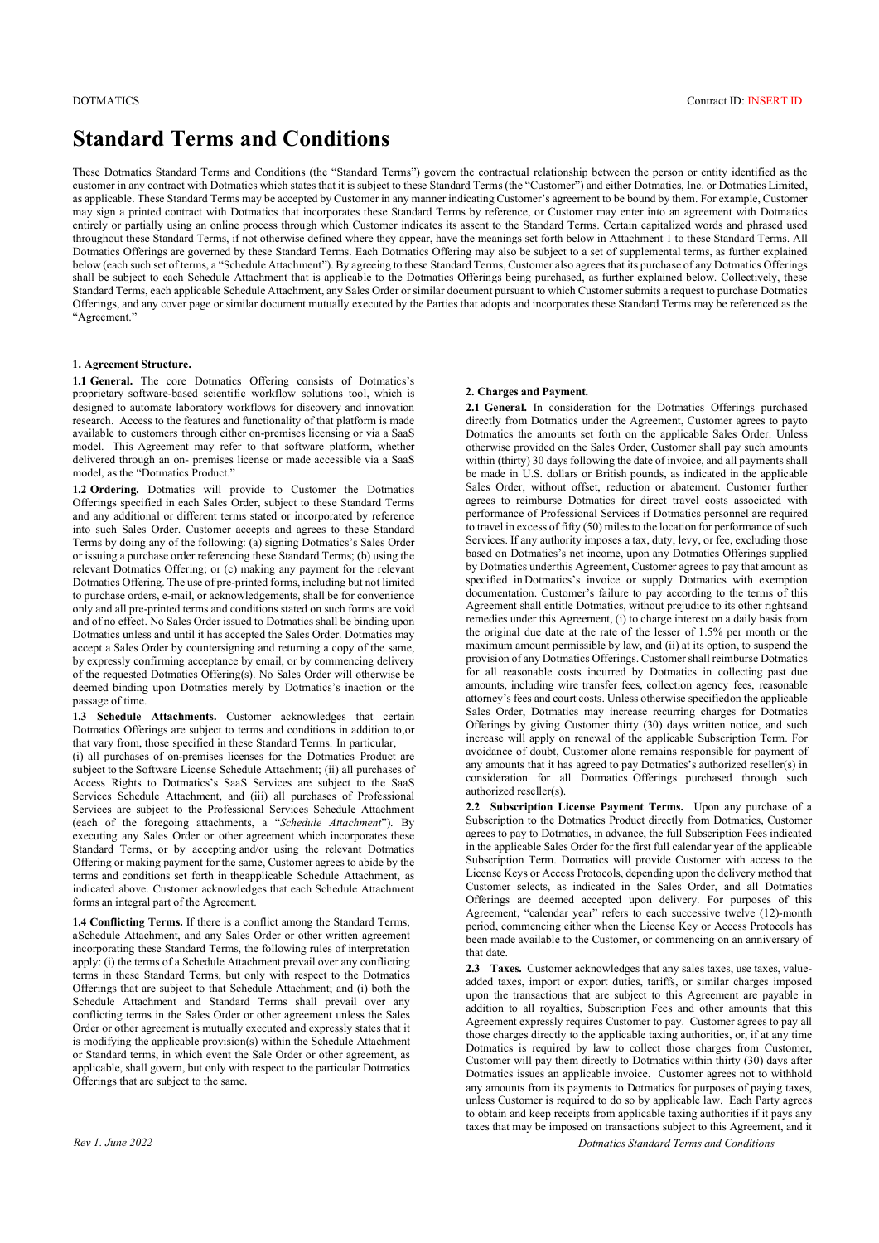# Standard Terms and Conditions

These Dotmatics Standard Terms and Conditions (the "Standard Terms") govern the contractual relationship between the person or entity identified as the customer in any contract with Dotmatics which states that it is subject to these Standard Terms (the "Customer") and either Dotmatics, Inc. or Dotmatics Limited, as applicable. These Standard Terms may be accepted by Customer in any manner indicating Customer's agreement to be bound by them. For example, Customer may sign a printed contract with Dotmatics that incorporates these Standard Terms by reference, or Customer may enter into an agreement with Dotmatics entirely or partially using an online process through which Customer indicates its assent to the Standard Terms. Certain capitalized words and phrased used throughout these Standard Terms, if not otherwise defined where they appear, have the meanings set forth below in Attachment 1 to these Standard Terms. All Dotmatics Offerings are governed by these Standard Terms. Each Dotmatics Offering may also be subject to a set of supplemental terms, as further explained below (each such set of terms, a "Schedule Attachment"). By agreeing to these Standard Terms, Customer also agrees that its purchase of any Dotmatics Offerings shall be subject to each Schedule Attachment that is applicable to the Dotmatics Offerings being purchased, as further explained below. Collectively, these Standard Terms, each applicable Schedule Attachment, any Sales Order or similar document pursuant to which Customer submits a request to purchase Dotmatics Offerings, and any cover page or similar document mutually executed by the Parties that adopts and incorporates these Standard Terms may be referenced as the "Agreement."

### 1. Agreement Structure.

1.1 General. The core Dotmatics Offering consists of Dotmatics's proprietary software-based scientific workflow solutions tool, which is designed to automate laboratory workflows for discovery and innovation research. Access to the features and functionality of that platform is made available to customers through either on-premises licensing or via a SaaS model. This Agreement may refer to that software platform, whether delivered through an on- premises license or made accessible via a SaaS model, as the "Dotmatics Product."

**1.2 Ordering.** Dotmatics will provide to Customer the Dotmatics Sales Order, v Offerings specified in each Sales Order, subject to these Standard Terms and any additional or different terms stated or incorporated by reference into such Sales Order. Customer accepts and agrees to these Standard Terms by doing any of the following: (a) signing Dotmatics's Sales Order or issuing a purchase order referencing these Standard Terms; (b) using the relevant Dotmatics Offering; or (c) making any payment for the relevant Dotmatics Offering. The use of pre-printed forms, including but not limited to purchase orders, e-mail, or acknowledgements, shall be for convenience only and all pre-printed terms and conditions stated on such forms are void and of no effect. No Sales Order issued to Dotmatics shall be binding upon Dotmatics unless and until it has accepted the Sales Order. Dotmatics may accept a Sales Order by countersigning and returning a copy of the same, by expressly confirming acceptance by email, or by commencing delivery of the requested Dotmatics Offering(s). No Sales Order will otherwise be deemed binding upon Dotmatics merely by Dotmatics's inaction or the passage of time.

1.3 Schedule Attachments. Customer acknowledges that certain Dotmatics Offerings are subject to terms and conditions in addition to, or that vary from, those specified in these Standard Terms. In particular,

(i) all purchases of on-premises licenses for the Dotmatics Product are subject to the Software License Schedule Attachment; (ii) all purchases of Access Rights to Dotmatics's SaaS Services are subject to the SaaS Services Schedule Attachment, and (iii) all purchases of Professional Services are subject to the Professional Services Schedule Attachment (each of the foregoing attachments, a "Schedule Attachment"). By executing any Sales Order or other agreement which incorporates these Standard Terms, or by accepting and/or using the relevant Dotmatics Offering or making payment for the same, Customer agrees to abide by the terms and conditions set forth in the applicable Schedule Attachment, as indicated above. Customer acknowledges that each Schedule Attachment forms an integral part of the Agreement.

1.4 Conflicting Terms. If there is a conflict among the Standard Terms, a Schedule Attachment, and any Sales Order or other written agreement incorporating these Standard Terms, the following rules of interpretation apply: (i) the terms of a Schedule Attachment prevail over any conflicting terms in these Standard Terms, but only with respect to the Dotmatics Offerings that are subject to that Schedule Attachment; and (i) both the Schedule Attachment and Standard Terms shall prevail over any conflicting terms in the Sales Order or other agreement unless the Sales Order or other agreement is mutually executed and expressly states that it is modifying the applicable provision(s) within the Schedule Attachment or Standard terms, in which event the Sale Order or other agreement, as applicable, shall govern, but only with respect to the particular Dotmatics Offerings that are subject to the same.

#### 2. Charges and Payment.

2.1 General. In consideration for the Dotmatics Offerings purchased directly from Dotmatics under the Agreement, Customer agrees to payto Dotmatics the amounts set forth on the applicable Sales Order. Unless otherwise provided on the Sales Order, Customer shall pay such amounts within (thirty) 30 days following the date of invoice, and all payments shall be made in U.S. dollars or British pounds, as indicated in the applicable Sales Order, without offset, reduction or abatement. Customer further agrees to reimburse Dotmatics for direct travel costs associated with performance of Professional Services if Dotmatics personnel are required to travel in excess of fifty  $(50)$  miles to the location for performance of such Services. If any authority imposes a tax, duty, levy, or fee, excluding those based on Dotmatics's net income, upon any Dotmatics Offerings supplied by Dotmatics under this Agreement, Customer agrees to pay that amount as specified in Dotmatics's invoice or supply Dotmatics with exemption documentation. Customer's failure to pay according to the terms of this Agreement shall entitle Dotmatics, without prejudice to its other rights and remedies under this Agreement, (i) to charge interest on a daily basis from the original due date at the rate of the lesser of 1.5% per month or the maximum amount permissible by law, and (ii) at its option, to suspend the provision of any Dotmatics Offerings. Customer shall reimburse Dotmatics for all reasonable costs incurred by Dotmatics in collecting past due amounts, including wire transfer fees, collection agency fees, reasonable attorney's fees and court costs. Unless otherwise specified on the applicable Sales Order, Dotmatics may increase recurring charges for Dotmatics Offerings by giving Customer thirty (30) days written notice, and such increase will apply on renewal of the applicable Subscription Term. For avoidance of doubt, Customer alone remains responsible for payment of any amounts that it has agreed to pay Dotmatics's authorized reseller(s) in consideration for all Dotmatics Offerings purchased through such authorized reseller(s).

2.2 Subscription License Payment Terms. Upon any purchase of a Subscription to the Dotmatics Product directly from Dotmatics, Customer agrees to pay to Dotmatics, in advance, the full Subscription Fees indicated in the applicable Sales Order for the first full calendar year of the applicable Subscription Term. Dotmatics will provide Customer with access to the License Keys or Access Protocols, depending upon the delivery method that Customer selects, as indicated in the Sales Order, and all Dotmatics Offerings are deemed accepted upon delivery. For purposes of this Agreement, "calendar year" refers to each successive twelve (12)-month period, commencing either when the License Key or Access Protocols has been made available to the Customer, or commencing on an anniversary of that date.

2.3 Taxes. Customer acknowledges that any sales taxes, use taxes, valueadded taxes, import or export duties, tariffs, or similar charges imposed upon the transactions that are subject to this Agreement are payable in addition to all royalties. Subscription Fees and other amounts that this Agreement expressly requires Customer to pay. Customer agrees to pay all those charges directly to the applicable taxing authorities, or, if at any time Dotmatics is required by law to collect those charges from Customer, Customer will pay them directly to Dotmatics within thirty (30) days after Dotmatics issues an applicable invoice. Customer agrees not to withhold any amounts from its payments to Dotmatics for purposes of paying taxes, unless Customer is required to do so by applicable law. Each Party agrees to obtain and keep receipts from applicable taxing authorities if it pays any taxes that may be imposed on transactions subject to this Agreement, and it

Rev 1. June 2022 Dotmatics Standard Terms and Conditions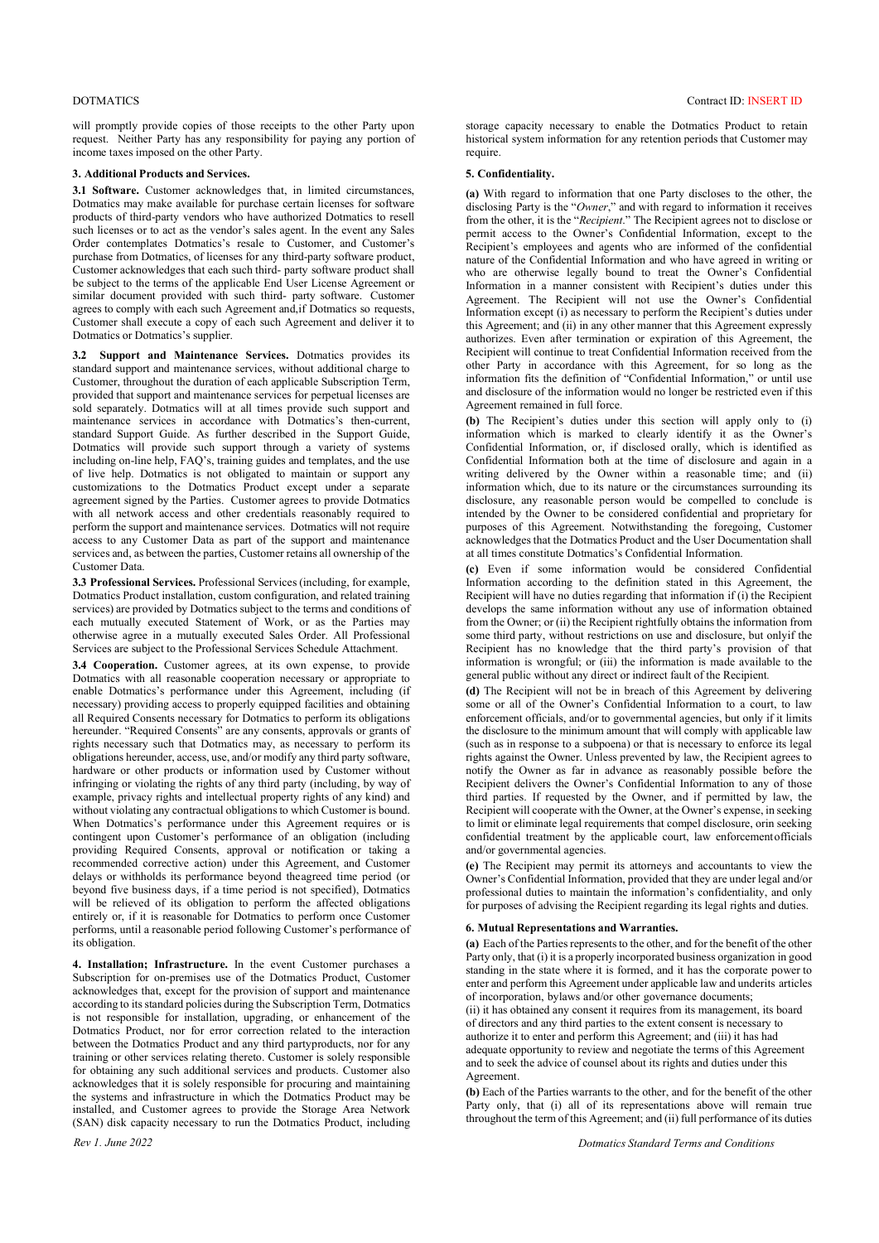will promptly provide copies of those receipts to the other Party upon request. Neither Party has any responsibility for paying any portion of income taxes imposed on the other Party.

#### 3. Additional Products and Services.

3.1 Software. Customer acknowledges that, in limited circumstances, Dotmatics may make available for purchase certain licenses for software products of third-party vendors who have authorized Dotmatics to resell such licenses or to act as the vendor's sales agent. In the event any Sales Order contemplates Dotmatics's resale to Customer, and Customer's purchase from Dotmatics, of licenses for any third-party software product, Customer acknowledges that each such third- party software product shall be subject to the terms of the applicable End User License Agreement or similar document provided with such third- party software. Customer agrees to comply with each such Agreement and, if Dotmatics so requests, Customer shall execute a copy of each such Agreement and deliver it to Dotmatics or Dotmatics's supplier.

3.2 Support and Maintenance Services. Dotmatics provides its standard support and maintenance services, without additional charge to Customer, throughout the duration of each applicable Subscription Term, provided that support and maintenance services for perpetual licenses are sold separately. Dotmatics will at all times provide such support and maintenance services in accordance with Dotmatics's then-current, standard Support Guide. As further described in the Support Guide, Dotmatics will provide such support through a variety of systems including on-line help, FAQ's, training guides and templates, and the use of live help. Dotmatics is not obligated to maintain or support any customizations to the Dotmatics Product except under a separate agreement signed by the Parties. Customer agrees to provide Dotmatics with all network access and other credentials reasonably required to perform the support and maintenance services. Dotmatics will not require access to any Customer Data as part of the support and maintenance services and, as between the parties, Customer retains all ownership of the Customer Data.

3.3 Professional Services. Professional Services (including, for example, Dotmatics Product installation, custom configuration, and related training services) are provided by Dotmatics subject to the terms and conditions of each mutually executed Statement of Work, or as the Parties may otherwise agree in a mutually executed Sales Order. All Professional Services are subject to the Professional Services Schedule Attachment.

3.4 Cooperation. Customer agrees, at its own expense, to provide Dotmatics with all reasonable cooperation necessary or appropriate to enable Dotmatics's performance under this Agreement, including (if necessary) providing access to properly equipped facilities and obtaining all Required Consents necessary for Dotmatics to perform its obligations hereunder. "Required Consents" are any consents, approvals or grants of rights necessary such that Dotmatics may, as necessary to perform its obligations hereunder, access, use, and/or modify any third party software, hardware or other products or information used by Customer without infringing or violating the rights of any third party (including, by way of example, privacy rights and intellectual property rights of any kind) and without violating any contractual obligations to which Customer is bound. When Dotmatics's performance under this Agreement requires or is contingent upon Customer's performance of an obligation (including providing Required Consents, approval or notification or taking a recommended corrective action) under this Agreement, and Customer delays or withholds its performance beyond the agreed time period (or beyond five business days, if a time period is not specified), Dotmatics will be relieved of its obligation to perform the affected obligations entirely or, if it is reasonable for Dotmatics to perform once Customer performs, until a reasonable period following Customer's performance of its obligation.

4. Installation; Infrastructure. In the event Customer purchases a Subscription for on-premises use of the Dotmatics Product, Customer acknowledges that, except for the provision of support and maintenance according to its standard policies during the Subscription Term, Dotmatics is not responsible for installation, upgrading, or enhancement of the Dotmatics Product, nor for error correction related to the interaction between the Dotmatics Product and any third partyproducts, nor for any training or other services relating thereto. Customer is solely responsible for obtaining any such additional services and products. Customer also acknowledges that it is solely responsible for procuring and maintaining the systems and infrastructure in which the Dotmatics Product may be installed, and Customer agrees to provide the Storage Area Network (SAN) disk capacity necessary to run the Dotmatics Product, including

storage capacity necessary to enable the Dotmatics Product to retain historical system information for any retention periods that Customer may require.

#### 5. Confidentiality.

(a) With regard to information that one Party discloses to the other, the disclosing Party is the "Owner," and with regard to information it receives from the other, it is the "Recipient." The Recipient agrees not to disclose or permit access to the Owner's Confidential Information, except to the Recipient's employees and agents who are informed of the confidential nature of the Confidential Information and who have agreed in writing or who are otherwise legally bound to treat the Owner's Confidential Information in a manner consistent with Recipient's duties under this Agreement. The Recipient will not use the Owner's Confidential Information except (i) as necessary to perform the Recipient's duties under this Agreement; and (ii) in any other manner that this Agreement expressly authorizes. Even after termination or expiration of this Agreement, the Recipient will continue to treat Confidential Information received from the other Party in accordance with this Agreement, for so long as the information fits the definition of "Confidential Information," or until use and disclosure of the information would no longer be restricted even if this Agreement remained in full force.

(b) The Recipient's duties under this section will apply only to (i) information which is marked to clearly identify it as the Owner's Confidential Information, or, if disclosed orally, which is identified as Confidential Information both at the time of disclosure and again in a writing delivered by the Owner within a reasonable time; and (ii) information which, due to its nature or the circumstances surrounding its disclosure, any reasonable person would be compelled to conclude is intended by the Owner to be considered confidential and proprietary for purposes of this Agreement. Notwithstanding the foregoing, Customer acknowledges that the Dotmatics Product and the User Documentation shall at all times constitute Dotmatics's Confidential Information.

(c) Even if some information would be considered Confidential Information according to the definition stated in this Agreement, the Recipient will have no duties regarding that information if (i) the Recipient develops the same information without any use of information obtained from the Owner; or (ii) the Recipient rightfully obtains the information from some third party, without restrictions on use and disclosure, but only if the Recipient has no knowledge that the third party's provision of that information is wrongful; or (iii) the information is made available to the general public without any direct or indirect fault of the Recipient.

(d) The Recipient will not be in breach of this Agreement by delivering some or all of the Owner's Confidential Information to a court, to law enforcement officials, and/or to governmental agencies, but only if it limits the disclosure to the minimum amount that will comply with applicable law (such as in response to a subpoena) or that is necessary to enforce its legal rights against the Owner. Unless prevented by law, the Recipient agrees to notify the Owner as far in advance as reasonably possible before the Recipient delivers the Owner's Confidential Information to any of those third parties. If requested by the Owner, and if permitted by law, the Recipient will cooperate with the Owner, at the Owner's expense, in seeking to limit or eliminate legal requirements that compel disclosure, orin seeking confidential treatment by the applicable court, law enforcement officials and/or governmental agencies.

(e) The Recipient may permit its attorneys and accountants to view the Owner's Confidential Information, provided that they are under legal and/or professional duties to maintain the information's confidentiality, and only for purposes of advising the Recipient regarding its legal rights and duties.

#### 6. Mutual Representations and Warranties.

(a) Each of the Parties represents to the other, and for the benefit of the other Party only, that (i) it is a properly incorporated business organization in good standing in the state where it is formed, and it has the corporate power to enter and perform this Agreement under applicable law and under its articles of incorporation, bylaws and/or other governance documents; (ii) it has obtained any consent it requires from its management, its board

of directors and any third parties to the extent consent is necessary to authorize it to enter and perform this Agreement; and (iii) it has had adequate opportunity to review and negotiate the terms of this Agreement and to seek the advice of counsel about its rights and duties under this Agreement.

(b) Each of the Parties warrants to the other, and for the benefit of the other Party only, that (i) all of its representations above will remain true throughout the term of this Agreement; and (ii) full performance of its duties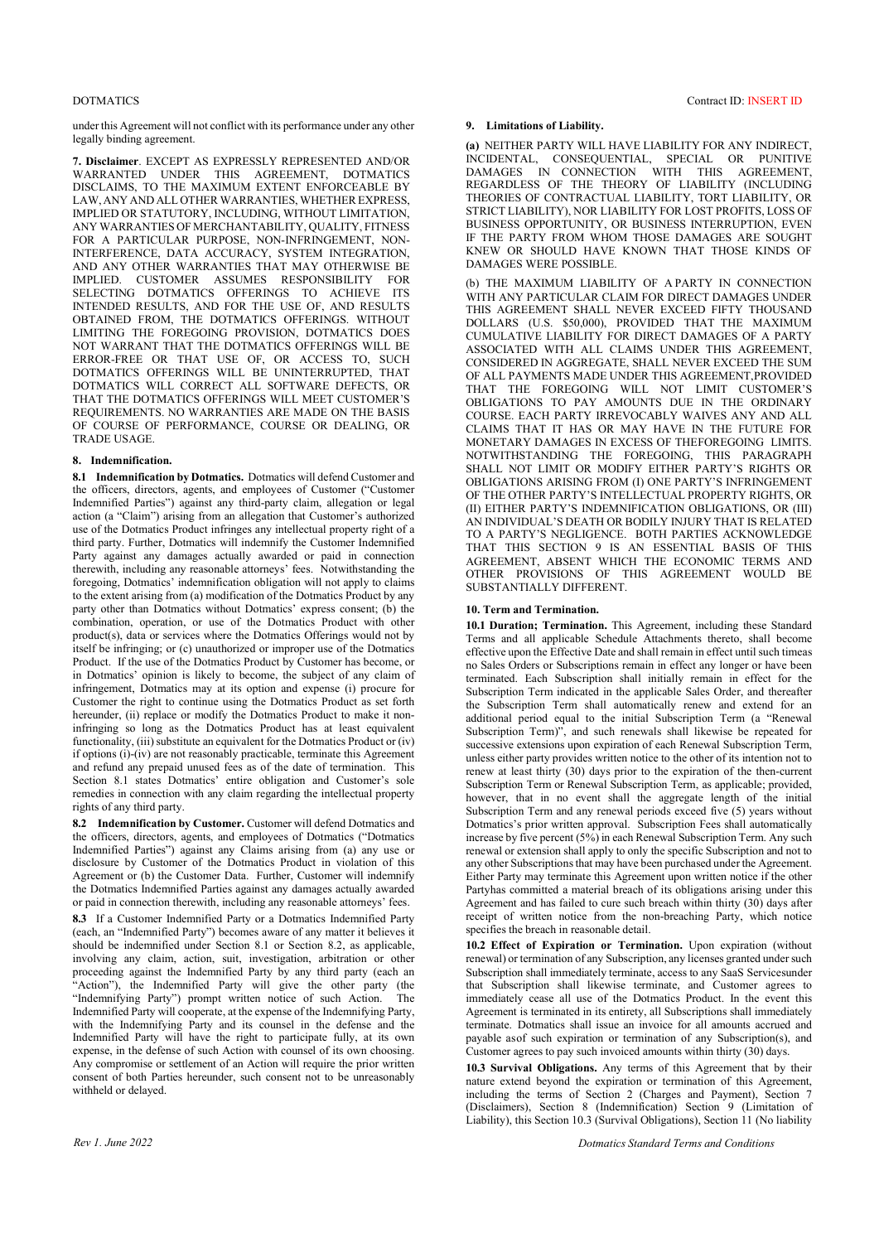under this Agreement will not conflict with its performance under any other legally binding agreement.

7. Disclaimer. EXCEPT AS EXPRESSLY REPRESENTED AND/OR WARRANTED UNDER THIS AGREEMENT, DOTMATICS DISCLAIMS, TO THE MAXIMUM EXTENT ENFORCEABLE BY LAW, ANY AND ALL OTHER WARRANTIES, WHETHER EXPRESS, IMPLIED OR STATUTORY, INCLUDING, WITHOUT LIMITATION, ANY WARRANTIES OF MERCHANTABILITY, QUALITY, FITNESS FOR A PARTICULAR PURPOSE, NON-INFRINGEMENT, NON-INTERFERENCE, DATA ACCURACY, SYSTEM INTEGRATION, AND ANY OTHER WARRANTIES THAT MAY OTHERWISE BE IMPLIED. CUSTOMER ASSUMES RESPONSIBILITY FOR SELECTING DOTMATICS OFFERINGS TO ACHIEVE ITS WITH ANY I INTENDED RESULTS, AND FOR THE USE OF, AND RESULTS OBTAINED FROM, THE DOTMATICS OFFERINGS. WITHOUT LIMITING THE FOREGOING PROVISION, DOTMATICS DOES NOT WARRANT THAT THE DOTMATICS OFFERINGS WILL BE ERROR-FREE OR THAT USE OF, OR ACCESS TO, SUCH DOTMATICS OFFERINGS WILL BE UNINTERRUPTED, THAT DOTMATICS WILL CORRECT ALL SOFTWARE DEFECTS, OR THAT THE DOTMATICS OFFERINGS WILL MEET CUSTOMER'S REQUIREMENTS. NO WARRANTIES ARE MADE ON THE BASIS OF COURSE OF PERFORMANCE, COURSE OR DEALING, OR TRADE USAGE.

### 8. Indemnification.

8.1 Indemnification by Dotmatics. Dotmatics will defend Customer and the officers, directors, agents, and employees of Customer ("Customer Indemnified Parties") against any third-party claim, allegation or legal action (a "Claim") arising from an allegation that Customer's authorized use of the Dotmatics Product infringes any intellectual property right of a third party. Further, Dotmatics will indemnify the Customer Indemnified Party against any damages actually awarded or paid in connection therewith, including any reasonable attorneys' fees. Notwithstanding the foregoing, Dotmatics' indemnification obligation will not apply to claims to the extent arising from (a) modification of the Dotmatics Product by any party other than Dotmatics without Dotmatics' express consent; (b) the combination, operation, or use of the Dotmatics Product with other product(s), data or services where the Dotmatics Offerings would not by itself be infringing; or (c) unauthorized or improper use of the Dotmatics Product. If the use of the Dotmatics Product by Customer has become, or in Dotmatics' opinion is likely to become, the subject of any claim of infringement, Dotmatics may at its option and expense (i) procure for Customer the right to continue using the Dotmatics Product as set forth hereunder, (ii) replace or modify the Dotmatics Product to make it noninfringing so long as the Dotmatics Product has at least equivalent functionality, (iii) substitute an equivalent for the Dotmatics Product or (iv) if options (i)-(iv) are not reasonably practicable, terminate this Agreement and refund any prepaid unused fees as of the date of termination. This Section 8.1 states Dotmatics' entire obligation and Customer's sole remedies in connection with any claim regarding the intellectual property rights of any third party.

8.2 Indemnification by Customer. Customer will defend Dotmatics and the officers, directors, agents, and employees of Dotmatics ("Dotmatics Indemnified Parties") against any Claims arising from (a) any use or disclosure by Customer of the Dotmatics Product in violation of this Agreement or (b) the Customer Data. Further, Customer will indemnify the Dotmatics Indemnified Parties against any damages actually awarded or paid in connection therewith, including any reasonable attorneys' fees.

8.3 If a Customer Indemnified Party or a Dotmatics Indemnified Party (each, an "Indemnified Party") becomes aware of any matter it believes it should be indemnified under Section 8.1 or Section 8.2, as applicable, involving any claim, action, suit, investigation, arbitration or other proceeding against the Indemnified Party by any third party (each an "Action"), the Indemnified Party will give the other party (the "Indemnifying Party") prompt written notice of such Action. The Indemnified Party will cooperate, at the expense of the Indemnifying Party, with the Indemnifying Party and its counsel in the defense and the Indemnified Party will have the right to participate fully, at its own expense, in the defense of such Action with counsel of its own choosing. Any compromise or settlement of an Action will require the prior written consent of both Parties hereunder, such consent not to be unreasonably withheld or delayed.

### 9. Limitations of Liability.

(a) NEITHER PARTY WILL HAVE LIABILITY FOR ANY INDIRECT, INCIDENTAL, CONSEQUENTIAL, SPECIAL OR PUNITIVE DAMAGES IN CONNECTION WITH THIS AGREEMENT, REGARDLESS OF THE THEORY OF LIABILITY (INCLUDING THEORIES OF CONTRACTUAL LIABILITY, TORT LIABILITY, OR STRICT LIABILITY), NOR LIABILITY FOR LOST PROFITS, LOSS OF BUSINESS OPPORTUNITY, OR BUSINESS INTERRUPTION, EVEN IF THE PARTY FROM WHOM THOSE DAMAGES ARE SOUGHT KNEW OR SHOULD HAVE KNOWN THAT THOSE KINDS OF DAMAGES WERE POSSIBLE.

(b) THE MAXIMUM LIABILITY OF A PARTY IN CONNECTION WITH ANY PARTICULAR CLAIM FOR DIRECT DAMAGES UNDER THIS AGREEMENT SHALL NEVER EXCEED FIFTY THOUSAND DOLLARS (U.S. \$50,000), PROVIDED THAT THE MAXIMUM CUMULATIVE LIABILITY FOR DIRECT DAMAGES OF A PARTY ASSOCIATED WITH ALL CLAIMS UNDER THIS AGREEMENT, CONSIDERED IN AGGREGATE, SHALL NEVER EXCEED THE SUM OF ALL PAYMENTS MADE UNDER THIS AGREEMENT, PROVIDED THAT THE FOREGOING WILL NOT LIMIT CUSTOMER'S OBLIGATIONS TO PAY AMOUNTS DUE IN THE ORDINARY COURSE. EACH PARTY IRREVOCABLY WAIVES ANY AND ALL CLAIMS THAT IT HAS OR MAY HAVE IN THE FUTURE FOR MONETARY DAMAGES IN EXCESS OF THEFOREGOING LIMITS. NOTWITHSTANDING THE FOREGOING, THIS PARAGRAPH SHALL NOT LIMIT OR MODIFY EITHER PARTY'S RIGHTS OR OBLIGATIONS ARISING FROM (I) ONE PARTY'S INFRINGEMENT OF THE OTHER PARTY'S INTELLECTUAL PROPERTY RIGHTS, OR (II) EITHER PARTY'S INDEMNIFICATION OBLIGATIONS, OR (III) AN INDIVIDUAL'S DEATH OR BODILY INJURY THAT IS RELATED TO A PARTY'S NEGLIGENCE. BOTH PARTIES ACKNOWLEDGE THAT THIS SECTION 9 IS AN ESSENTIAL BASIS OF THIS AGREEMENT, ABSENT WHICH THE ECONOMIC TERMS AND OTHER PROVISIONS OF THIS AGREEMENT WOULD BE SUBSTANTIALLY DIFFERENT.

### 10. Term and Termination.

10.1 Duration; Termination. This Agreement, including these Standard Terms and all applicable Schedule Attachments thereto, shall become effective upon the Effective Date and shall remain in effect until such timeas no Sales Orders or Subscriptions remain in effect any longer or have been terminated. Each Subscription shall initially remain in effect for the Subscription Term indicated in the applicable Sales Order, and thereafter the Subscription Term shall automatically renew and extend for an additional period equal to the initial Subscription Term (a "Renewal Subscription Term)", and such renewals shall likewise be repeated for successive extensions upon expiration of each Renewal Subscription Term, unless either party provides written notice to the other of its intention not to renew at least thirty (30) days prior to the expiration of the then-current Subscription Term or Renewal Subscription Term, as applicable; provided, however, that in no event shall the aggregate length of the initial Subscription Term and any renewal periods exceed five (5) years without Dotmatics's prior written approval. Subscription Fees shall automatically increase by five percent  $(5\%)$  in each Renewal Subscription Term. Any such renewal or extension shall apply to only the specific Subscription and not to any other Subscriptions that may have been purchased under the Agreement. Either Party may terminate this Agreement upon written notice if the other Party has committed a material breach of its obligations arising under this Agreement and has failed to cure such breach within thirty (30) days after receipt of written notice from the non-breaching Party, which notice specifies the breach in reasonable detail.

10.2 Effect of Expiration or Termination. Upon expiration (without renewal) or termination of any Subscription, any licenses granted under such Subscription shall immediately terminate, access to any SaaS Servicesunder that Subscription shall likewise terminate, and Customer agrees to immediately cease all use of the Dotmatics Product. In the event this Agreement is terminated in its entirety, all Subscriptions shall immediately terminate. Dotmatics shall issue an invoice for all amounts accrued and payable as of such expiration or termination of any Subscription(s), and Customer agrees to pay such invoiced amounts within thirty (30) days.

10.3 Survival Obligations. Any terms of this Agreement that by their nature extend beyond the expiration or termination of this Agreement, including the terms of Section 2 (Charges and Payment), Section 7 (Disclaimers), Section 8 (Indemnification) Section 9 (Limitation of Liability), this Section 10.3 (Survival Obligations), Section 11 (No liability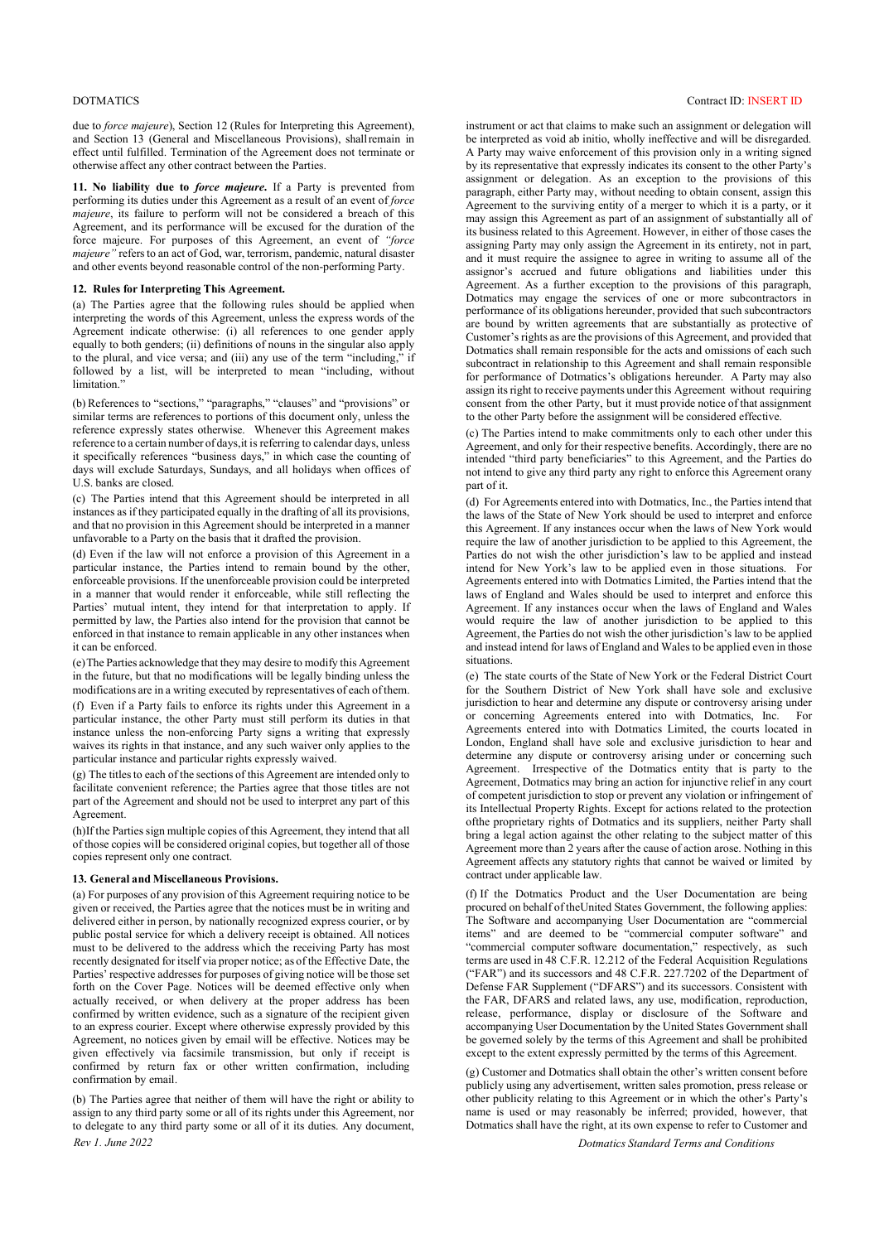due to *force majeure*), Section 12 (Rules for Interpreting this Agreement), and Section 13 (General and Miscellaneous Provisions), shall remain in effect until fulfilled. Termination of the Agreement does not terminate or otherwise affect any other contract between the Parties.

11. No liability due to *force majeure*. If a Party is prevented from performing its duties under this Agreement as a result of an event of force majeure, its failure to perform will not be considered a breach of this Agreement, and its performance will be excused for the duration of the force majeure. For purposes of this Agreement, an event of "force majeure" refers to an act of God, war, terrorism, pandemic, natural disaster and other events beyond reasonable control of the non-performing Party.

### 12. Rules for Interpreting This Agreement.

(a) The Parties agree that the following rules should be applied when interpreting the words of this Agreement, unless the express words of the Agreement indicate otherwise: (i) all references to one gender apply equally to both genders; (ii) definitions of nouns in the singular also apply to the plural, and vice versa; and (iii) any use of the term "including," if followed by a list, will be interpreted to mean "including, without limitation."

(b) References to "sections," "paragraphs," "clauses" and "provisions" or similar terms are references to portions of this document only, unless the reference expressly states otherwise. Whenever this Agreement makes reference to a certain number of days, it is referring to calendar days, unless it specifically references "business days," in which case the counting of days will exclude Saturdays, Sundays, and all holidays when offices of U.S. banks are closed.

(c) The Parties intend that this Agreement should be interpreted in all instances as if they participated equally in the drafting of all its provisions, and that no provision in this Agreement should be interpreted in a manner unfavorable to a Party on the basis that it drafted the provision.

(d) Even if the law will not enforce a provision of this Agreement in a particular instance, the Parties intend to remain bound by the other, enforceable provisions. If the unenforceable provision could be interpreted in a manner that would render it enforceable, while still reflecting the Parties' mutual intent, they intend for that interpretation to apply. If permitted by law, the Parties also intend for the provision that cannot be enforced in that instance to remain applicable in any other instances when it can be enforced.

(e)The Parties acknowledge that they may desire to modify this Agreement in the future, but that no modifications will be legally binding unless the modifications are in a writing executed by representatives of each of them. (f) Even if a Party fails to enforce its rights under this Agreement in a particular instance, the other Party must still perform its duties in that instance unless the non-enforcing Party signs a writing that expressly waives its rights in that instance, and any such waiver only applies to the particular instance and particular rights expressly waived.

(g) The titles to each of the sections of this Agreement are intended only to facilitate convenient reference; the Parties agree that those titles are not part of the Agreement and should not be used to interpret any part of this Agreement.

(h)If the Parties sign multiple copies of this Agreement, they intend that all of those copies will be considered original copies, but together all of those copies represent only one contract.

#### 13. General and Miscellaneous Provisions.

(a) For purposes of any provision of this Agreement requiring notice to be given or received, the Parties agree that the notices must be in writing and delivered either in person, by nationally recognized express courier, or by public postal service for which a delivery receipt is obtained. All notices must to be delivered to the address which the receiving Party has most recently designated for itself via proper notice; as of the Effective Date, the Parties' respective addresses for purposes of giving notice will be those set forth on the Cover Page. Notices will be deemed effective only when actually received, or when delivery at the proper address has been confirmed by written evidence, such as a signature of the recipient given to an express courier. Except where otherwise expressly provided by this Agreement, no notices given by email will be effective. Notices may be given effectively via facsimile transmission, but only if receipt is confirmed by return fax or other written confirmation, including confirmation by email.

 Rev 1. June 2022 Dotmatics Standard Terms and Conditions (b) The Parties agree that neither of them will have the right or ability to assign to any third party some or all of its rights under this Agreement, nor to delegate to any third party some or all of it its duties. Any document,

#### DOTMATICS Contract ID: INSERT ID

instrument or act that claims to make such an assignment or delegation will be interpreted as void ab initio, wholly ineffective and will be disregarded. A Party may waive enforcement of this provision only in a writing signed by its representative that expressly indicates its consent to the other Party's assignment or delegation. As an exception to the provisions of this paragraph, either Party may, without needing to obtain consent, assign this Agreement to the surviving entity of a merger to which it is a party, or it may assign this Agreement as part of an assignment of substantially all of its business related to this Agreement. However, in either of those cases the assigning Party may only assign the Agreement in its entirety, not in part, and it must require the assignee to agree in writing to assume all of the assignor's accrued and future obligations and liabilities under this Agreement. As a further exception to the provisions of this paragraph, Dotmatics may engage the services of one or more subcontractors in performance of its obligations hereunder, provided that such subcontractors are bound by written agreements that are substantially as protective of Customer's rights as are the provisions of this Agreement, and provided that Dotmatics shall remain responsible for the acts and omissions of each such subcontract in relationship to this Agreement and shall remain responsible for performance of Dotmatics's obligations hereunder. A Party may also assign its right to receive payments under this Agreement without requiring consent from the other Party, but it must provide notice of that assignment to the other Party before the assignment will be considered effective.

(c) The Parties intend to make commitments only to each other under this Agreement, and only for their respective benefits. Accordingly, there are no intended "third party beneficiaries" to this Agreement, and the Parties do not intend to give any third party any right to enforce this Agreement or any part of it.

(d) For Agreements entered into with Dotmatics, Inc., the Parties intend that the laws of the State of New York should be used to interpret and enforce this Agreement. If any instances occur when the laws of New York would require the law of another jurisdiction to be applied to this Agreement, the Parties do not wish the other jurisdiction's law to be applied and instead intend for New York's law to be applied even in those situations. For Agreements entered into with Dotmatics Limited, the Parties intend that the laws of England and Wales should be used to interpret and enforce this Agreement. If any instances occur when the laws of England and Wales would require the law of another jurisdiction to be applied to this Agreement, the Parties do not wish the other jurisdiction's law to be applied and instead intend for laws of England and Wales to be applied even in those situations.

(e) The state courts of the State of New York or the Federal District Court for the Southern District of New York shall have sole and exclusive jurisdiction to hear and determine any dispute or controversy arising under or concerning Agreements entered into with Dotmatics, Inc. Agreements entered into with Dotmatics Limited, the courts located in London, England shall have sole and exclusive jurisdiction to hear and determine any dispute or controversy arising under or concerning such Agreement. Irrespective of the Dotmatics entity that is party to the Agreement, Dotmatics may bring an action for injunctive relief in any court of competent jurisdiction to stop or prevent any violation or infringement of its Intellectual Property Rights. Except for actions related to the protection of the proprietary rights of Dotmatics and its suppliers, neither Party shall bring a legal action against the other relating to the subject matter of this Agreement more than 2 years after the cause of action arose. Nothing in this Agreement affects any statutory rights that cannot be waived or limited by contract under applicable law.

(f) If the Dotmatics Product and the User Documentation are being procured on behalf of the United States Government, the following applies: The Software and accompanying User Documentation are "commercial items" and are deemed to be "commercial computer software" and "commercial computer software documentation," respectively, as such terms are used in 48 C.F.R. 12.212 of the Federal Acquisition Regulations ("FAR") and its successors and 48 C.F.R. 227.7202 of the Department of Defense FAR Supplement ("DFARS") and its successors. Consistent with the FAR, DFARS and related laws, any use, modification, reproduction, release, performance, display or disclosure of the Software and accompanying User Documentation by the United States Government shall be governed solely by the terms of this Agreement and shall be prohibited except to the extent expressly permitted by the terms of this Agreement.

(g) Customer and Dotmatics shall obtain the other's written consent before publicly using any advertisement, written sales promotion, press release or other publicity relating to this Agreement or in which the other's Party's name is used or may reasonably be inferred; provided, however, that Dotmatics shall have the right, at its own expense to refer to Customer and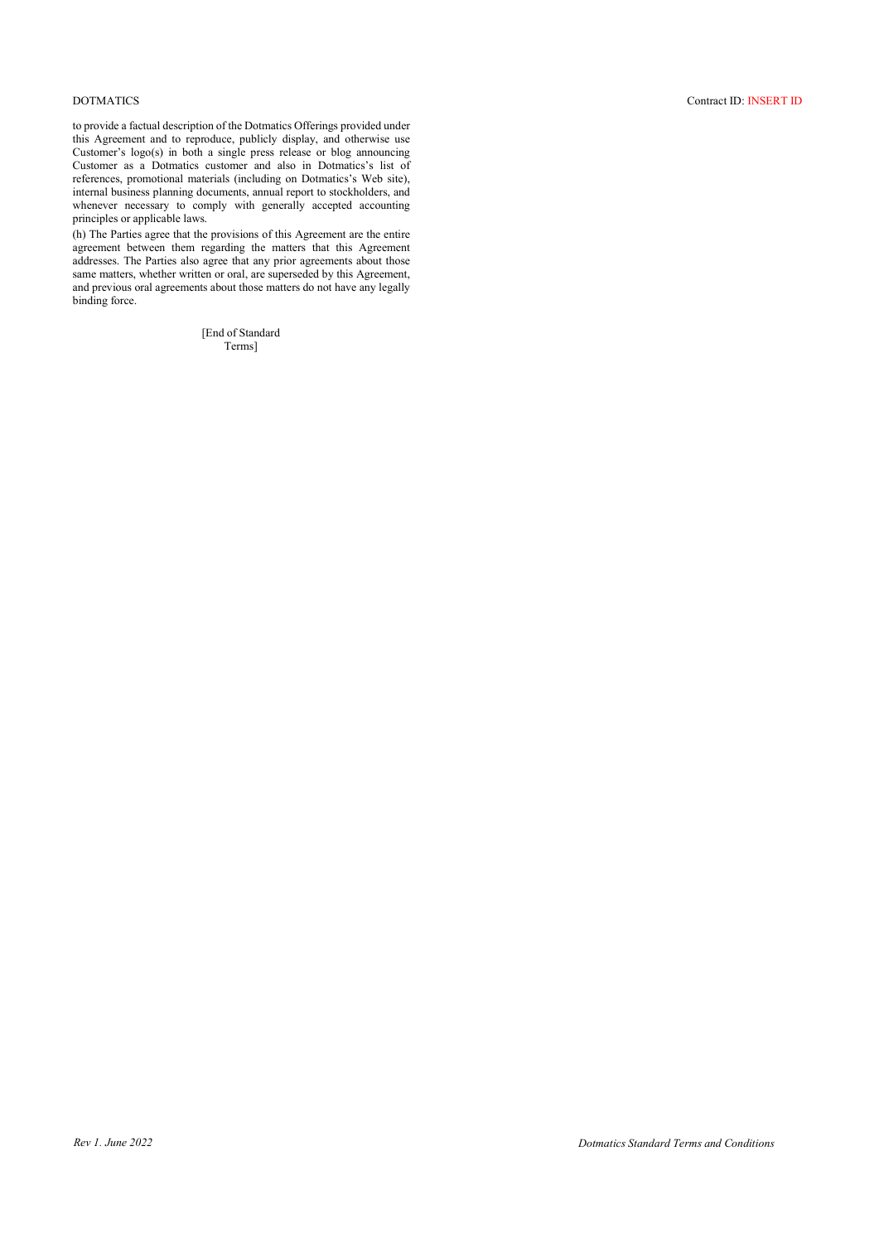to provide a factual description of the Dotmatics Offerings provided under this Agreement and to reproduce, publicly display, and otherwise use Customer's logo(s) in both a single press release or blog announcing Customer as a Dotmatics customer and also in Dotmatics's list of references, promotional materials (including on Dotmatics's Web site), internal business planning documents, annual report to stockholders, and whenever necessary to comply with generally accepted accounting principles or applicable laws.

(h) The Parties agree that the provisions of this Agreement are the entire agreement between them regarding the matters that this Agreement addresses. The Parties also agree that any prior agreements about those same matters, whether written or oral, are superseded by this Agreement, and previous oral agreements about those matters do not have any legally binding force.

> [End of Standard Terms]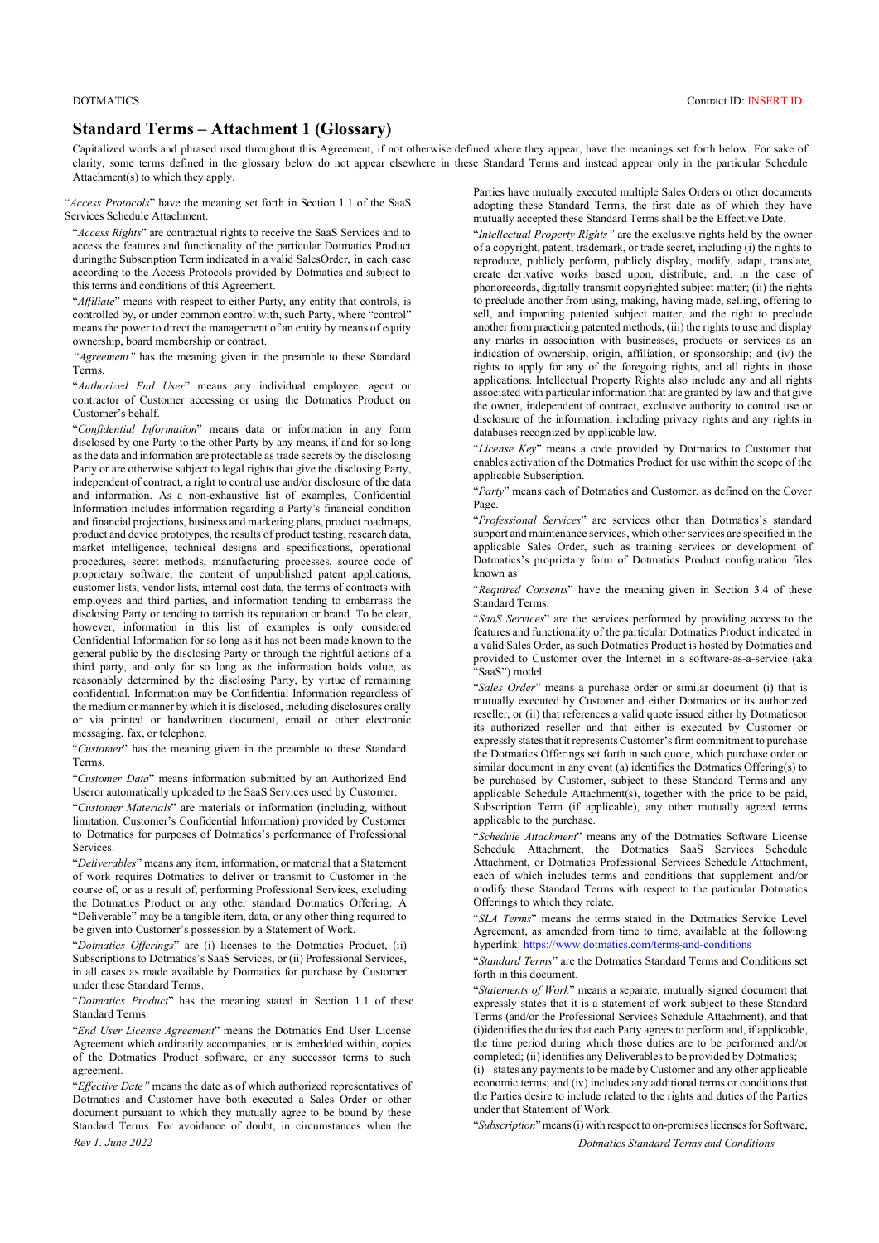## Standard Terms – Attachment 1 (Glossary)

Capitalized words and phrased used throughout this Agreement, if not otherwise defined where they appear, have the meanings set forth below. For sake of clarity, some terms defined in the glossary below do not appear elsewhere in these Standard Terms and instead appear only in the particular Schedule Attachment(s) to which they apply.

"Access Protocols" have the meaning set forth in Section 1.1 of the SaaS<br>Services Schedule Attachment.

access the features and functionality of the particular Dotmatics Product during the Subscription Term indicated in a valid Sales Order, in each case according to the Access Protocols provided by Dotmatics and subject to

"Affiliate" means with respect to either Party, any entity that controls, is controlled by, or under common control with, such Party, where "control" means the power to direct the management of an entity by means of equity ownership, board membership or contract.

"Agreement" has the meaning given in the preamble to these Standard Terms.<br>"Authorized End User" means any individual employee, agent or

contractor of Customer accessing or using the Dotmatics Product on

disclosed by one Party to the other Party by any means, if and for so long as the data and information are protectable as trade secrets by the disclosing Party or are otherwise subject to legal rights that give the disclosing Party,<br>indicated that the contract condition of the disclosing Charles that applicable Subscription. independent of contract, a right to control use and/or disclosure of the data and information. As a non-exhaustive list of examples, Confidential  $\frac{Part}{P}$ <br>Information includes information regarding a Party's financial condition  $\frac{Page}{P}$ Information includes information regarding a Party's financial condition and financial projections, business and marketing plans, product roadmaps, product and device prototypes, the results of product testing, research data, market intelligence, technical designs and specifications, operational procedures, secret methods, manufacturing processes, source code of proprietary software, the content of unpublished patent applications, customer lists, vendor lists, internal cost data, the terms of contracts with employees and third parties, and information tending to embarrass the Standard Terms disclosing Party or tending to tarnish its reputation or brand. To be clear, however, information in this list of examples is only considered Confidential Information for so long as it has not been made known to the general public by the disclosing Party or through the rightful actions of a third party, and only for so long as the information holds value, as "SaaS" model. reasonably determined by the disclosing Party, by virtue of remaining confidential. Information may be Confidential Information regardless of the medium or manner by which it is disclosed, including disclosures orally or via printed or handwritten document, email or other electronic

"Customer" has the meaning given in the preamble to these Standard

Terms.<br>"Customer Data" means information submitted by an Authorized End

Useror automatically uploaded to the SaaS Services used by Customer. The applicable Schedule Attace of Customer Materials" are materials or information (including, without Subscription Term (if applicable to the purchase. limitation, Customer's Confidential Information) provided by Customer to Dotmatics for purposes of Dotmatics's performance of Professional

Services.<br>"Deliverables" means any item, information, or material that a Statement of work requires Dotmatics to deliver or transmit to Customer in the course of, or as a result of, performing Professional Services, excluding modify these Standard Terms the Dotmatics Product or any other standard Dotmatics Offering. A Offerings to which they relate. the Dotmatics Product or any other standard Dotmatics Offering. A "Deliverable" may be a tangible item, data, or any other thing required to<br>be given into Customer's possession by a Statement of Work.

"Dotmatics Offerings" are (i) licenses to the Dotmatics Product, (ii) Subscriptions to Dotmatics's SaaS Services, or (ii) Professional Services, in all cases as made available by Dotmatics for purchase by Customer

under these Standard Terms.<br>"Dotmatics Product" has the meaning stated in Section 1.1 of these Standard Terms.<br>"End User License Agreement" means the Dotmatics End User License

Agreement which ordinarily accompanies, or is embedded within, copies of the Dotmatics Product software, or any successor terms to such agreement.<br>"Effective Date" means the date as of which authorized representatives of

 Rev 1. June 2022 Dotmatics Standard Terms and Conditions Dotmatics and Customer have both executed a Sales Order or other<br>document pursuant to which they mutually agree to be bound by these under that Statement of Work. document pursuant to which they mutually agree to be bound by these Standard Terms. For avoidance of doubt, in circumstances when the

services Schedule Attachment.<br>"Access Rights" are contractual rights to receive the SaaS Services and to "Intellectual Property Rights" are the exclusive rights held by the c Parties have mutually executed multiple Sales Orders or other documents adopting these Standard Terms, the first date as of which they have

Customer's behalf.<br>
"Confidential Information" means data or information in any form disclosure of the information, including<br>
databases recognized by applicable law. "Intellectual Property Rights" are the exclusive rights held by the owner of a copyright, patent, trademark, or trade secret, including (i) the rights to reproduce, publicly perform, publicly display, modify, adapt, translate, create derivative works based upon, distribute, and, in the case of phonorecords, digitally transmit copyrighted subject matter; (ii) the rights to preclude another from using, making, having made, selling, offering to sell, and importing patented subject matter, and the right to preclude another from practicing patented methods, (iii) the rights to use and display any marks in association with businesses, products or services as an indication of ownership, origin, affiliation, or sponsorship; and (iv) the rights to apply for any of the foregoing rights, and all rights in those applications. Intellectual Property Rights also include any and all rights associated with particular information that are granted by law and that give the owner, independent of contract, exclusive authority to control use or disclosure of the information, including privacy rights and any rights in

> "License Key" means a code provided by Dotmatics to Customer that enables activation of the Dotmatics Product for use within the scope of the

> "Party" means each of Dotmatics and Customer, as defined on the Cover

"Professional Services" are services other than Dotmatics's standard support and maintenance services, which other services are specified in the applicable Sales Order, such as training services or development of Dotmatics's proprietary form of Dotmatics Product configuration files

"Required Consents" have the meaning given in Section 3.4 of these

"SaaS Services" are the services performed by providing access to the features and functionality of the particular Dotmatics Product indicated in a valid Sales Order, as such Dotmatics Product is hosted by Dotmatics and provided to Customer over the Internet in a software-as-a-service (aka

"Sales Order" means a purchase order or similar document (i) that is mutually executed by Customer and either Dotmatics or its authorized reseller, or (ii) that references a valid quote issued either by Dotmaticsor its authorized reseller and that either is executed by Customer or expressly states that it represents Customer's firm commitment to purchase the Dotmatics Offerings set forth in such quote, which purchase order or similar document in any event (a) identifies the Dotmatics Offering(s) to be purchased by Customer, subject to these Standard Terms and any applicable Schedule Attachment(s), together with the price to be paid, Subscription Term (if applicable), any other mutually agreed terms

"Schedule Attachment" means any of the Dotmatics Software License Schedule Attachment, the Dotmatics SaaS Services Schedule Attachment, or Dotmatics Professional Services Schedule Attachment, each of which includes terms and conditions that supplement and/or modify these Standard Terms with respect to the particular Dotmatics

"SLA Terms" means the terms stated in the Dotmatics Service Level Agreement, as amended from time to time, available at the following hyperlink: https://www.dotmatics.com/terms-and-conditions

"Standard Terms" are the Dotmatics Standard Terms and Conditions set

"Statements of Work" means a separate, mutually signed document that expressly states that it is a statement of work subject to these Standard Terms (and/or the Professional Services Schedule Attachment), and that (i) identifies the duties that each Party agrees to perform and, if applicable, the time period during which those duties are to be performed and/or completed; (ii) identifies any Deliverables to be provided by Dotmatics;

(i) states any payments to be made by Customer and any other applicable economic terms; and (iv) includes any additional terms or conditions that the Parties desire to include related to the rights and duties of the Parties

"Subscription" means (i) with respect to on-premises licenses for Software,